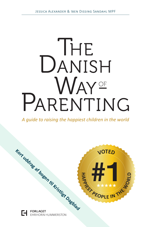# **THE** DANISH **WAY** OF PARENTING

*A guide to raising the happiest children in the world*

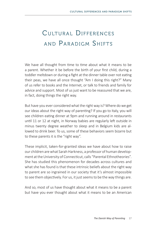## CULTURAL DIFFERENCES and PARADIGM SHIFTS

We have all thought from time to time about what it means to be a parent. Whether it be before the birth of your first child, during a toddler meltdown or during a fight at the dinner table over not eating their peas, we have all once thought "Am I doing this right?" Many of us refer to books and the Internet, or talk to friends and family for advice and support. Most of us just want to be reassured that we are, in fact, doing things the right way.

But have you ever considered what the right way is? Where do we get our ideas about the right way of parenting? If you go to Italy, you will see children eating dinner at 9pm and running around in restaurants until 11 or 12 at night, in Norway babies are regularly left outside in minus twenty degree weather to sleep and in Belgium kids are allowed to drink beer. To us, some of these behaviors seem bizarre but to these parents it is the "right way".

These implicit, taken-for-granted ideas we have about how to raise our children are what Sarah Harkness, a professor of human development at the University of Connecticut, calls "Parental Ethnotheories". She has studied this phenomenon for decades across cultures and what she has found is that these intrinsic beliefs about the right way to parent are so ingrained in our society that it's almost impossible to see them objectively. For us, it just seems to be the way things are.

And so, most of us have thought about what it means to be a parent but have you ever thought about what it means to be an American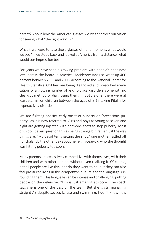parent? About how the American glasses we wear correct our vision for seeing what "the right way" is?

What if we were to take those glasses off for a moment: what would we see? If we stood back and looked at America from a distance, what would our impression be?

For years we have seen a growing problem with people's happiness level across the board in America. Antidepressant use went up 400 percent between 2005 and 2008, according to the National Center for Health Statistics. Children are being diagnosed and prescribed medication for a growing number of psychological disorders, some with no clear-cut method of diagnosing them. In 2010 alone, there were at least 5.2 million children between the ages of 3-17 taking Ritalin for hyperactivity disorder.

We are fighting obesity, early onset of puberty or "precocious puberty" as it is now referred to. Girls and boys as young as seven and eight are getting injected with hormone shots to stop puberty. Most of us don't even question this as being strange but rather just the way things are. "My daughter is getting the shot," one mother rattled off nonchalantly the other day about her eight-year-old who she thought was hitting puberty too soon.

Many parents are excessively competitive with themselves, with their children and with other parents without even realizing it. Of course, not all people are like this, nor do they want to be, but they can also feel pressured living in this competitive culture and the language surrounding them. This language can be intense and challenging, putting people on the defensive: "Kim is just amazing at soccer. The coach says she is one of the best on the team. But she is still managing straight A's despite soccer, karate and swimming. I don't know how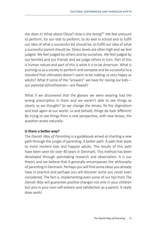she does it! What about Olivia? How is she doing?" We feel pressure to perform, for our kids to perform, to do well in school and to fulfill our idea of what a successful kid should be, to fulfill our idea of what a successful parent should be. Stress levels are often high and we feel judged. We feel judged by others and by ourselves. We feel judged by our families and our friends and we judge others in turn. Part of this is human nature and part of this is what it is to be American. What is pushing us as a society to perform and compete and be successful to a standard that ultimately doesn't seem to be making us very happy as adults? What if some of the "answers" we have for raising our kids our parental ethnotheories—are flawed?

What if we discovered that the glasses we were wearing had the wrong prescription in them and we weren't able to see things as clearly as we thought? So we change the lenses, fix the stigmatism and look again at our world. Lo and behold, things do look different! By trying to see things from a new perspective, with new lenses, the question arises naturally:

#### **Is there a better way?**

*The Danish Way of Parenting* is a guidebook aimed at charting a new path through the jungle of parenting. A better path. A path that leads to more resilient kids and happier adults. The results of this path have been seen for over 40 years in Denmark. This method has been developed through painstaking research and observation. It is our theory and we believe that it generally encompasses the philosophy of parenting in Denmark. Perhaps you will find some ideas you already have in practice and perhaps you will discover some you never even considered. The fact is, implementing even some of our tips from *The Danish Way* will guarantee positive changes not only in your children but also in your own self-esteem and satisfaction as a parent. It really does work!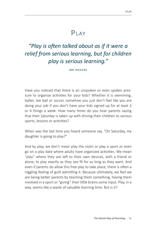### *"Play is often talked about as if it were a relief from serious learning, but for children play is serious learning."*

MR. ROGERS

Have you noticed that there is an unspoken or even spoken pressure to organize activities for your kids? Whether it is swimming, ballet, tee ball or soccer, somehow you just don't feel like you are doing your job if you don't have your kids signed up for at least 3 or 4 things a week. How many times do you hear parents saying that their Saturday is taken up with driving their children to various sports, lessons or activities?

When was the last time you heard someone say, "On Saturday, my daughter is going to play?"

And by play, we don't mean play the violin or play a sport or even go on a play date where adults have organized activities. We mean "play" where they are left to their own devices, with a friend or alone, to play exactly as they see fit for as long as they want. And even if parents do allow this free play to take place, there is often a niggling feeling of guilt admitting it. Because ultimately, we feel we are being better parents by teaching them something, having them involved in a sport or "giving" their little brains some input. Play, in a way, seems like a waste of valuable learning time. But is it?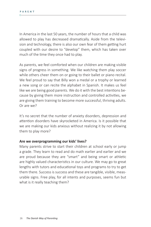In America in the last 50 years, the number of hours that a child was allowed to play has decreased dramatically. Aside from the television and technology, there is also our own fear of them getting hurt coupled with our desire to "develop" them, which has taken over much of the time they once had to play.

As parents, we feel comforted when our children are making visible signs of progress in something. We like watching them play soccer while others cheer them on or going to their ballet or piano recital. We feel proud to say that Billy won a medal or a trophy or learned a new song or can recite the alphabet in Spanish. It makes us feel like we are being good parents. We do it with the best intentions because by giving them more instruction and controlled activities, we are giving them training to become more successful, thriving adults. Or are we?

It's no secret that the number of anxiety disorders, depression and attention disorders have skyrocketed in America. Is it possible that we are making our kids anxious without realizing it by not allowing them to play more?

#### **Are we overprogramming our kids' lives?**

Many parents strive to start their children at school early or jump a grade. They learn to read and do math earlier and earlier and we are proud because they are "smart" and being smart or athletic are highly valued characteristics in our culture. We may go to great lengths with tutors and educational toys and programs to try to get them there. Success is success and these are tangible, visible, measurable signs. Free play, for all intents and purposes, seems fun but what is it really teaching them?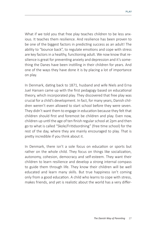What if we told you that free play teaches children to be less anxious. It teaches them resilience. And resilience has been proven to be one of the biggest factors in predicting success as an adult! The ability to "bounce back", to regulate emotions and cope with stress are key factors in a healthy, functioning adult. We now know that resilience is great for preventing anxiety and depression and it's something the Danes have been instilling in their children for years. And one of the ways they have done it is by placing a lot of importance on play.

In Denmark, dating back to 1871, husband and wife Niels and Erna Juel Hansen came up with the first pedagogy based on educational theory, which incorporated play. They discovered that free play was crucial for a child's development. In fact, for many years, Danish children weren't even allowed to start school before they were seven. They didn't want them to engage in education because they felt that children should first and foremost be children and play. Even now, children up until the age of ten finish regular school at 2pm and then go to what is called "Skole/Fritidsordning" (free time school) for the rest of the day, where they are mainly encouraged to play. That is pretty incredible if you think about it.

In Denmark, there isn't a sole focus on education or sports but rather on the whole child. They focus on things like socialization, autonomy, cohesion, democracy and self-esteem. They want their children to learn resilience and develop a strong internal compass to guide them through life. They know their children will be well educated and learn many skills. But true happiness isn't coming only from a good education. A child who learns to cope with stress, makes friends, and yet is realistic about the world has a very differ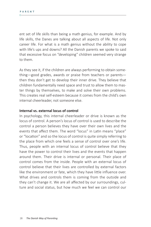ent set of life skills than being a math genius, for example. And by life skills, the Danes are talking about all aspects of life. Not only career life. For what is a math genius without the ability to cope with life's ups and downs? All the Danish parents we spoke to said that excessive focus on "developing" children seemed very strange to them.

As they see it, if the children are always performing to obtain something—good grades, awards or praise from teachers or parents then they don't get to develop their inner drive. They believe that children fundamentally need space and trust to allow them to master things by themselves, to make and solve their own problems. This creates real self-esteem because it comes from the child's own internal cheerleader, not someone else.

#### **Internal vs. external locus of control**

In psychology, this internal cheerleader or drive is known as the locus of control. A person's locus of control is used to describe the control a person believes they have over their own lives and the events that affect them. The word "locus" in Latin means "place" or "location" and so the locus of control is quite simply referring to the place from which one feels a sense of control over one's life. Thus, people with an internal locus of control believe that they have the power to control their lives and the events that happen around them. Their drive is internal or personal. Their place of control comes from the inside. People with an external locus of control believe that their lives are controlled by external factors like the environment or fate, which they have little influence over. What drives and controls them is coming from the outside and they can't change it. We are all affected by our surroundings, culture and social status, but how much we feel we can control our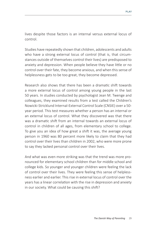lives despite those factors is an internal versus external locus of control.

Studies have repeatedly shown that children, adolescents and adults who have a strong external locus of control (that is, that circumstances outside of themselves control their lives) are predisposed to anxiety and depression. When people believe they have little or no control over their fate, they become anxious, and when this sense of helplessness gets to be too great, they become depressed.

Research also shows that there has been a dramatic shift towards a more external locus of control among young people in the last 50 years. In studies conducted by psychologist Jean M. Twenge and colleagues, they examined results from a test called the Children's Nowicki-Stricklund Internal-External Control Scale (CNSIE) over a 50 year period. This test measures whether a person has an internal or an external locus of control. What they discovered was that there was a dramatic shift from an internal towards an external locus of control in children of all ages, from elementary school to college. To give you an idea of how great a shift it was, the average young person in 1960 was 80 percent more likely to claim that they had control over their lives than children in 2002, who were more prone to say they lacked personal control over their lives.

And what was even more striking was that the trend was more pronounced for elementary school children than for middle school and college kids. So younger and younger children were feeling the lack of control over their lives. They were feeling this sense of helplessness earlier and earlier. This rise in external locus of control over the years has a linear correlation with the rise in depression and anxiety in our society. What could be causing this shift?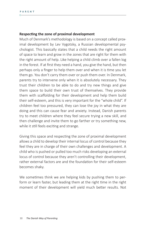#### **Respecting the zone of proximal development**

Much of Denmark's methodology is based on a concept called proximal development by Lev Vygotsky, a Russian developmental psychologist. This basically states that a child needs the right amount of space to learn and grow in the zones that are right for them with the right amount of help. Like helping a child climb over a fallen log in the forest. If at first they need a hand, you give the hand, but then perhaps only a finger to help them over and when it is time you let them go. You don't carry them over or push them over. In Denmark, parents try to intervene only when it is absolutely necessary. They trust their children to be able to do and try new things and give them space to build their own trust of themselves. They provide them with scaffolding for their development and help them build their self-esteem, and this is very important for the "whole child". If children feel too pressured, they can lose the joy in what they are doing and this can cause fear and anxiety. Instead, Danish parents try to meet children where they feel secure trying a new skill, and then challenge and invite them to go farther or try something new, while it still feels exciting and strange.

Giving this space and respecting the zone of proximal development allows a child to develop their internal locus of control because they feel they are in charge of their own challenges and development. A child who is pushed or pulled too much risks developing an external locus of control because they aren't controlling their development, rather external factors are and the foundation for their self-esteem becomes shaky.

We sometimes think we are helping kids by pushing them to perform or learn faster, but leading them at the right time in the right moment of their development will yield much better results. Not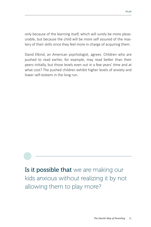only because of the learning itself, which will surely be more pleasurable, but because the child will be more self assured of the mastery of their skills since they feel more in charge of acquiring them.

David Elkind, an American psychologist, agrees. Children who are pushed to read earlier, for example, may read better than their peers initially, but those levels even out in a few years' time and at what cost? The pushed children exhibit higher levels of anxiety and lower self-esteem in the long run.

Is it possible that we are making our kids anxious without realizing it by not allowing them to play more?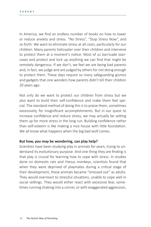In America, we find an endless number of books on how to lower or reduce anxiety and stress. "No Stress", "Stop Stress Now", and so forth. We want to eliminate stress at all costs, particularly for our children. Many parents helicopter over their children and intervene to protect them at a moment's notice. Most of us barricade staircases and protect and lock up anything we can find that might be remotely dangerous. If we don't, we feel we are being bad parents and, in fact, we judge and are judged by others for not doing enough to protect them. These days require so many safeguarding gizmos and gadgets that one wonders how parents didn't kill their children 20 years ago.

Not only do we want to protect our children from stress but we also want to build their self-confidence and make them feel special. The standard method of doing this is to praise them, sometimes excessively, for insignificant accomplishments. But in our quest to increase confidence and reduce stress, we may actually be setting them up for more stress in the long run. Building confidence rather than self-esteem is like making a nice house with little foundation. We all know what happens when the big bad wolf comes.

#### **But how, you may be wondering, can play help?**

Scientists have been studying play in animals for years, trying to understand its evolutionary purpose. And one thing they are finding is that play is crucial for learning how to cope with stress. In studies done on domestic rats and rhesus monkeys, scientists found that when they were deprived of playmates during a critical stage of their development, these animals became "stressed out" as adults. They would overreact to stressful situations, unable to cope well in social settings. They would either react with excessive fear, sometimes running shaking into a corner, or with exaggerated aggression,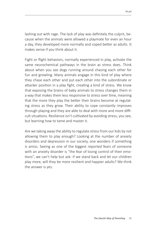lashing out with rage. The lack of play was definitely the culprit, because when the animals were allowed a playmate for even an hour a day, they developed more normally and coped better as adults. It makes sense if you think about it.

Fight or flight behaviors, normally experienced in play, activate the same neurochemical pathways in the brain as stress does. Think about when you see dogs running around chasing each other for fun and growling. Many animals engage in this kind of play where they chase each other and put each other into the subordinate or attacker position in a play fight, creating a kind of stress. We know that exposing the brains of baby animals to stress changes them in a way that makes them less responsive to stress over time, meaning that the more they play the better their brains become at regulating stress as they grow. Their ability to cope constantly improves through playing and they are able to deal with more and more difficult situations. Resilience isn't cultivated by avoiding stress, you see, but learning how to tame and master it.

Are we taking away the ability to regulate stress from our kids by not allowing them to play enough? Looking at the number of anxiety disorders and depression in our society, one wonders if something is amiss. Seeing as one of the biggest reported fears of someone with an anxiety disorder is "the fear of losing control of their emotions", we can't help but ask: if we stand back and let our children play more, will they be more resilient and happier adults? We think the answer is yes.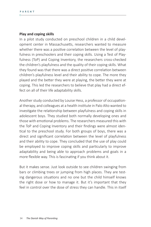#### **Play and coping skills**

In a pilot study conducted on preschool children in a child development center in Massachusetts, researchers wanted to measure whether there was a positive correlation between the level of playfulness in preschoolers and their coping skills. Using a Test of Playfulness (ToP) and Coping Inventory, the researchers cross-checked the children's playfulness and the quality of their coping skills. What they found was that there was a direct positive correlation between children's playfulness level and their ability to cope. The more they played and the better they were at playing, the better they were at coping. This led the researchers to believe that play had a direct effect on all of their life adaptability skills.

Another study conducted by Louise Hess, a professor of occupational therapy, and colleagues at a health institute in Palo Alto wanted to investigate the relationship between playfulness and coping skills in adolescent boys. They studied both normally developing ones and those with emotional problems. The researchers measured this with the ToP and Coping Inventory and their findings were almost identical to the preschool study. For both groups of boys, there was a direct and significant correlation between the level of playfulness and their ability to cope. They concluded that the use of play could be employed to improve coping skills and particularly to improve adaptability and being able to approach problems and goals in a more flexible way. This is fascinating if you think about it.

But it makes sense. Just look outside to see children swinging from bars or climbing trees or jumping from high places. They are testing dangerous situations and no one but the child himself knows the right dose or how to manage it. But it's important that they feel in control over the dose of stress they can handle. This in itself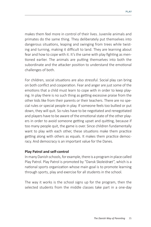makes them feel more in control of their lives. Juvenile animals and primates do the same thing. They deliberately put themselves into dangerous situations, leaping and swinging from trees while twisting and turning, making it difficult to land. They are learning about fear and how to cope with it. It's the same with play fighting as mentioned earlier. The animals are putting themselves into both the subordinate and the attacker position to understand the emotional challenges of both.

For children, social situations are also stressful. Social play can bring on both conflict and cooperation. Fear and anger are just some of the emotions that a child must learn to cope with in order to keep playing. In play there is no such thing as getting excessive praise from the other kids like from their parents or their teachers. There are no special rules or special people in play. If someone feels too bullied or put down, they will quit. So rules have to be negotiated and renegotiated and players have to be aware of the emotional state of the other players in order to avoid someone getting upset and quitting, because if too many people quit, the game is over. Since children fundamentally want to play with each other, these situations make them practice getting along with others as equals. It makes them practice democracy. And democracy is an important value for the Danes.

#### **Play Patrol and self-control**

In many Danish schools, for example, there is a program in place called Play Patrol. Play Patrol is promoted by "Dansk Skoleidræt", which is a national sports organization whose main goal is to promote learning through sports, play and exercise for all students in the school.

The way it works is the school signs up for the program, then the selected students from the middle classes take part in a one-day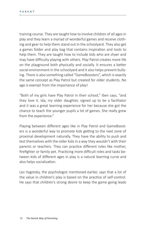training course. They are taught how to involve children of all ages in play and they learn a myriad of wonderful games and receive clothing and gear to help them stand out in the schoolyard. They also get a games folder and play bag that contains inspiration and tools to help them. They are taught how to include kids who are shyer and may have difficulty playing with others. Play Patrol creates more life on the playground both physically and socially. It ensures a better social environment in the schoolyard and it also helps prevent bullying. There is also something called "GameBoosters", which is exactly the same concept as Play Patrol but created for older students. No age is exempt from the importance of play!

"Both of my girls have Play Patrol in their school," Iben says, "and they love it. Ida, my older daughter, signed up to be a facilitator and it was a great learning experience for her because she got the chance to teach the younger pupils a lot of games. She really grew from the experience."

Playing between different ages like in Play Patrol and GameBoosters is a wonderful way to promote kids getting to the next zone of proximal development naturally. They have the ability to push and test themselves with the older kids in a way they wouldn't with their parents or teachers. They can practice different roles like mother, firefighter or family pet. Practicing more difficult roles and tasks between kids of different ages in play is a natural learning curve and also helps socialization.

Lev Vygotsky, the psychologist mentioned earlier, says that a lot of the value in children's play is based on the practice of self-control. He says that children's strong desire to keep the game going leads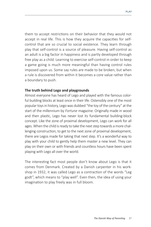them to accept restrictions on their behavior that they would not accept in real life. This is how they acquire the capacities for selfcontrol that are so crucial to social existence. They learn through play that self-control is a source of pleasure. Having self-control as an adult is a big factor in happiness and is partly developed through free play as a child. Learning to exercise self-control in order to keep a game going is much more meaningful than having control rules imposed upon us. Some say rules are made to be broken, but when a rule is discovered from within it becomes a core value rather than a boundary to push.

#### **The truth behind Lego and playgrounds**

Almost everyone has heard of Lego and played with the famous colorful building blocks at least once in their life. Ostensibly one of the most popular toys in history, Lego was dubbed "the toy of the century" at the start of the millennium by *Fortune* magazine. Originally made in wood and then plastic, Lego has never lost its fundamental building-block concept. Like the zone of proximal development, Lego can work for all ages. When the child is ready to take the next step towards a more challenging construction, to get to the next zone of proximal development, there are Legos made for taking that next step. It's a wonderful way to play with your child to gently help them master a new level. They can play on their own or with friends and countless hours have been spent playing with Lego all over the world.

The interesting fact most people don't know about Lego is that it comes from Denmark. Created by a Danish carpenter in his workshop in 1932, it was called Lego as a contraction of the words "Leg godt", which means to "play well". Even then, the idea of using your imagination to play freely was in full bloom.